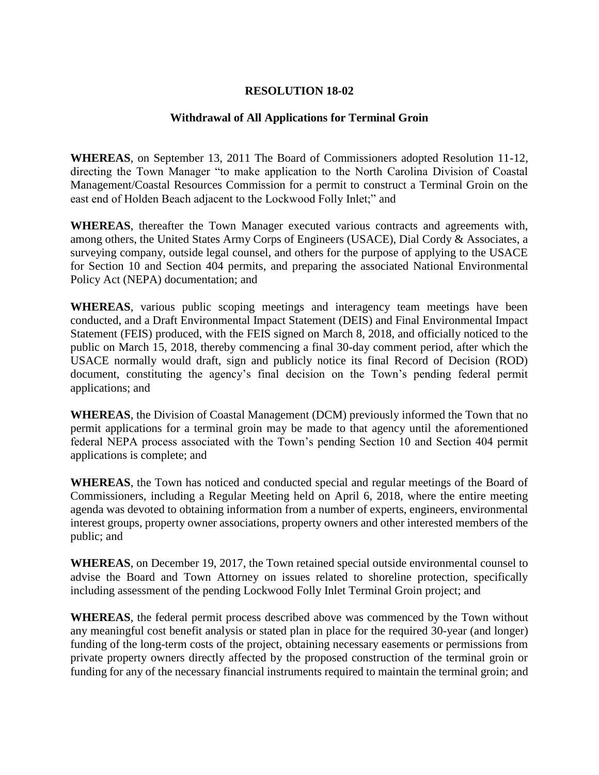## **RESOLUTION 18-02**

## **Withdrawal of All Applications for Terminal Groin**

**WHEREAS**, on September 13, 2011 The Board of Commissioners adopted Resolution 11-12, directing the Town Manager "to make application to the North Carolina Division of Coastal Management/Coastal Resources Commission for a permit to construct a Terminal Groin on the east end of Holden Beach adjacent to the Lockwood Folly Inlet;" and

**WHEREAS**, thereafter the Town Manager executed various contracts and agreements with, among others, the United States Army Corps of Engineers (USACE), Dial Cordy & Associates, a surveying company, outside legal counsel, and others for the purpose of applying to the USACE for Section 10 and Section 404 permits, and preparing the associated National Environmental Policy Act (NEPA) documentation; and

**WHEREAS**, various public scoping meetings and interagency team meetings have been conducted, and a Draft Environmental Impact Statement (DEIS) and Final Environmental Impact Statement (FEIS) produced, with the FEIS signed on March 8, 2018, and officially noticed to the public on March 15, 2018, thereby commencing a final 30-day comment period, after which the USACE normally would draft, sign and publicly notice its final Record of Decision (ROD) document, constituting the agency's final decision on the Town's pending federal permit applications; and

**WHEREAS**, the Division of Coastal Management (DCM) previously informed the Town that no permit applications for a terminal groin may be made to that agency until the aforementioned federal NEPA process associated with the Town's pending Section 10 and Section 404 permit applications is complete; and

**WHEREAS**, the Town has noticed and conducted special and regular meetings of the Board of Commissioners, including a Regular Meeting held on April 6, 2018, where the entire meeting agenda was devoted to obtaining information from a number of experts, engineers, environmental interest groups, property owner associations, property owners and other interested members of the public; and

**WHEREAS**, on December 19, 2017, the Town retained special outside environmental counsel to advise the Board and Town Attorney on issues related to shoreline protection, specifically including assessment of the pending Lockwood Folly Inlet Terminal Groin project; and

**WHEREAS**, the federal permit process described above was commenced by the Town without any meaningful cost benefit analysis or stated plan in place for the required 30-year (and longer) funding of the long-term costs of the project, obtaining necessary easements or permissions from private property owners directly affected by the proposed construction of the terminal groin or funding for any of the necessary financial instruments required to maintain the terminal groin; and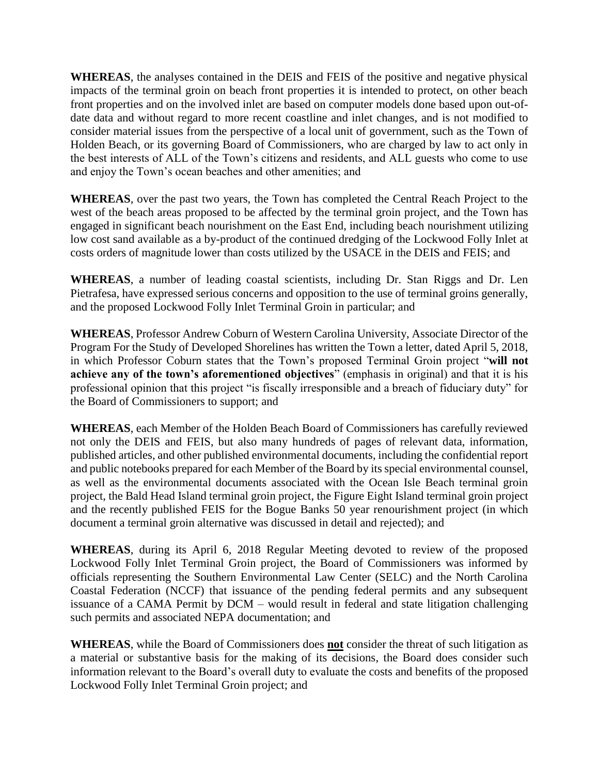**WHEREAS**, the analyses contained in the DEIS and FEIS of the positive and negative physical impacts of the terminal groin on beach front properties it is intended to protect, on other beach front properties and on the involved inlet are based on computer models done based upon out-ofdate data and without regard to more recent coastline and inlet changes, and is not modified to consider material issues from the perspective of a local unit of government, such as the Town of Holden Beach, or its governing Board of Commissioners, who are charged by law to act only in the best interests of ALL of the Town's citizens and residents, and ALL guests who come to use and enjoy the Town's ocean beaches and other amenities; and

**WHEREAS**, over the past two years, the Town has completed the Central Reach Project to the west of the beach areas proposed to be affected by the terminal groin project, and the Town has engaged in significant beach nourishment on the East End, including beach nourishment utilizing low cost sand available as a by-product of the continued dredging of the Lockwood Folly Inlet at costs orders of magnitude lower than costs utilized by the USACE in the DEIS and FEIS; and

**WHEREAS**, a number of leading coastal scientists, including Dr. Stan Riggs and Dr. Len Pietrafesa, have expressed serious concerns and opposition to the use of terminal groins generally, and the proposed Lockwood Folly Inlet Terminal Groin in particular; and

**WHEREAS**, Professor Andrew Coburn of Western Carolina University, Associate Director of the Program For the Study of Developed Shorelines has written the Town a letter, dated April 5, 2018, in which Professor Coburn states that the Town's proposed Terminal Groin project "**will not achieve any of the town's aforementioned objectives**" (emphasis in original) and that it is his professional opinion that this project "is fiscally irresponsible and a breach of fiduciary duty" for the Board of Commissioners to support; and

**WHEREAS**, each Member of the Holden Beach Board of Commissioners has carefully reviewed not only the DEIS and FEIS, but also many hundreds of pages of relevant data, information, published articles, and other published environmental documents, including the confidential report and public notebooks prepared for each Member of the Board by its special environmental counsel, as well as the environmental documents associated with the Ocean Isle Beach terminal groin project, the Bald Head Island terminal groin project, the Figure Eight Island terminal groin project and the recently published FEIS for the Bogue Banks 50 year renourishment project (in which document a terminal groin alternative was discussed in detail and rejected); and

**WHEREAS**, during its April 6, 2018 Regular Meeting devoted to review of the proposed Lockwood Folly Inlet Terminal Groin project, the Board of Commissioners was informed by officials representing the Southern Environmental Law Center (SELC) and the North Carolina Coastal Federation (NCCF) that issuance of the pending federal permits and any subsequent issuance of a CAMA Permit by DCM – would result in federal and state litigation challenging such permits and associated NEPA documentation; and

**WHEREAS**, while the Board of Commissioners does **not** consider the threat of such litigation as a material or substantive basis for the making of its decisions, the Board does consider such information relevant to the Board's overall duty to evaluate the costs and benefits of the proposed Lockwood Folly Inlet Terminal Groin project; and